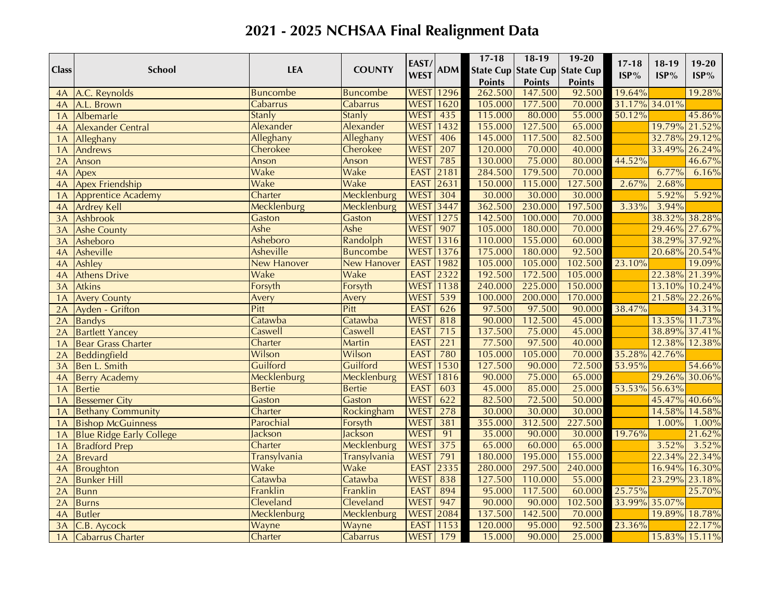|              |                                 |                    |                  | EAST/       |            | $17 - 18$                     | $18-19$       | $19-20$       | $17 - 18$     | $18-19$       | $19-20$ |
|--------------|---------------------------------|--------------------|------------------|-------------|------------|-------------------------------|---------------|---------------|---------------|---------------|---------|
| <b>Class</b> | <b>School</b>                   | <b>LEA</b>         | <b>COUNTY</b>    | <b>WEST</b> | <b>ADM</b> | State Cup State Cup State Cup |               |               | ISP%          | ISP%          | ISP%    |
|              |                                 |                    |                  |             |            | Points                        | <b>Points</b> | <b>Points</b> |               |               |         |
| 4A           | A.C. Reynolds                   | <b>Buncombe</b>    | <b>Buncombe</b>  | <b>WEST</b> | 1296       | 262.500                       | 147.500       | 92.500        | 19.64%        |               | 19.28%  |
| 4A           | A.L. Brown                      | Cabarrus           | <b>Cabarrus</b>  | <b>WEST</b> | 1620       | 105.000                       | 177.500       | 70.000        | 31.17% 34.01% |               |         |
| 1A           | Albemarle                       | Stanly             | Stanly           | <b>WEST</b> | 435        | 115.000                       | 80.000        | 55.000        | 50.12%        |               | 45.86%  |
| 4A           | <b>Alexander Central</b>        | Alexander          | <b>Alexander</b> | <b>WEST</b> | 1432       | 155.000                       | 127.500       | 65.000        |               | 19.79%        | 21.52%  |
| 1A           | Alleghany                       | Alleghany          | Alleghany        | <b>WEST</b> | 406        | 145.000                       | 117.500       | 82.500        |               | 32.78%        | 29.12%  |
| 1A           | Andrews                         | Cherokee           | Cherokee         | <b>WEST</b> | 207        | 120.000                       | 70.000        | 40.000        |               | 33.49% 26.24% |         |
| 2A           | Anson                           | Anson              | Anson            | <b>WEST</b> | 785        | 130.000                       | 75.000        | 80.000        | 44.52%        |               | 46.67%  |
| 4A           | Apex                            | Wake               | Wake             | <b>EAST</b> | 2181       | 284.500                       | 179.500       | 70.000        |               | $6.77\%$      | 6.16%   |
| 4A           | <b>Apex Friendship</b>          | Wake               | Wake             | EAST        | 2631       | 150.000                       | 115.000       | 127.500       | 2.67%         | 2.68%         |         |
| 1A           | Apprentice Academy              | Charter            | Mecklenburg      | <b>WEST</b> | 304        | 30.000                        | 30.000        | 30.000        |               | 5.92%         | 5.92%   |
| 4A           | <b>Ardrey Kell</b>              | Mecklenburg        | Mecklenburg      | <b>WEST</b> | 3447       | 362.500                       | 230.000       | 197.500       | 3.33%         | 3.94%         |         |
| 3A           | Ashbrook                        | Gaston             | Gaston           | <b>WEST</b> | 1275       | 142.500                       | 100.000       | 70.000        |               | 38.32% 38.28% |         |
| 3A           | <b>Ashe County</b>              | Ashe               | Ashe             | <b>WEST</b> | 907        | 105.000                       | 180.000       | 70.000        |               | 29.46%        | 27.67%  |
| 3A           | Asheboro                        | Asheboro           | Randolph         | <b>WEST</b> | 1316       | 110.000                       | 155.000       | 60.000        |               | 38.29% 37.92% |         |
| 4A           | Asheville                       | Asheville          | <b>Buncombe</b>  | <b>WEST</b> | 1376       | 175.000                       | 180.000       | 92.500        |               | 20.68%        | 20.54%  |
| 4A           | Ashley                          | <b>New Hanover</b> | New Hanover      | <b>EAST</b> | 1982       | 105.000                       | 105.000       | 102.500       | 23.10%        |               | 19.09%  |
| 4A           | <b>Athens Drive</b>             | Wake               | Wake             | EAST        | 2322       | 192.500                       | 172.500       | 105.000       |               | 22.38%        | 21.39%  |
| 3A           | <b>Atkins</b>                   | Forsyth            | Forsyth          | <b>WEST</b> | 1138       | 240.000                       | 225.000       | 150.000       |               | 13.10% 10.24% |         |
| 1A           | <b>Avery County</b>             | Avery              | Avery            | <b>WEST</b> | 539        | 100.000                       | 200.000       | 170.000       |               | 21.58%        | 22.26%  |
| 2A           | Ayden - Grifton                 | Pitt               | Pitt             | <b>EAST</b> | 626        | 97.500                        | 97.500        | 90.000        | 38.47%        |               | 34.31%  |
| 2A           | <b>Bandys</b>                   | Catawba            | Catawba          | <b>WEST</b> | 818        | 90.000                        | 112.500       | 45.000        |               | 13.35%        | 11.73%  |
| 2A           | <b>Bartlett Yancey</b>          | Caswell            | Caswell          | <b>EAST</b> | 715        | 137.500                       | 75.000        | 45.000        |               | 38.89%        | 37.41%  |
| 1A           | <b>Bear Grass Charter</b>       | Charter            | <b>Martin</b>    | <b>EAST</b> | 221        | 77.500                        | 97.500        | 40.000        |               | 12.38%        | 12.38%  |
| 2A           | Beddingfield                    | Wilson             | Wilson           | <b>EAST</b> | 780        | 105.000                       | 105.000       | 70.000        | 35.28%        | 42.76%        |         |
| 3A           | Ben L. Smith                    | Guilford           | Guilford         | <b>WEST</b> | 1530       | 127.500                       | 90.000        | 72.500        | 53.95%        |               | 54.66%  |
| 4A           | <b>Berry Academy</b>            | Mecklenburg        | Mecklenburg      | <b>WEST</b> | 1816       | 90.000                        | 75.000        | 65.000        |               | 29.26% 30.06% |         |
| 1A           | <b>Bertie</b>                   | <b>Bertie</b>      | <b>Bertie</b>    | <b>EAST</b> | 603        | 45.000                        | 85.000        | 25.000        | 53.53% 56.63% |               |         |
| 1A           | <b>Bessemer City</b>            | Gaston             | Gaston           | <b>WEST</b> | 622        | 82.500                        | 72.500        | 50.000        |               | 45.47%        | 40.66%  |
| 1A           | <b>Bethany Community</b>        | Charter            | Rockingham       | <b>WEST</b> | 278        | 30.000                        | 30.000        | 30.000        |               | 14.58%        | 14.58%  |
| 1A           | <b>Bishop McGuinness</b>        | Parochial          | Forsyth          | <b>WEST</b> | 381        | 355.000                       | 312.500       | 227.500       |               | 1.00%         | 1.00%   |
| 1A           | <b>Blue Ridge Early College</b> | Jackson            | Jackson          | <b>WEST</b> | 91         | 35.000                        | 90.000        | 30.000        | 19.76%        |               | 21.62%  |
| 1A           | <b>Bradford Prep</b>            | Charter            | Mecklenburg      | <b>WEST</b> | 375        | 65.000                        | 60.000        | 65.000        |               | 3.52%         | 3.52%   |
| 2A           | <b>Brevard</b>                  | Transylvania       | Transylvania     | <b>WEST</b> | 791        | 180.000                       | 195.000       | 155.000       |               | 22.34%        | 22.34%  |
| 4A           | Broughton                       | Wake               | Wake             | <b>EAST</b> | 2335       | 280.000                       | 297.500       | 240.000       |               | 16.94%        | 16.30%  |
| 2A           | <b>Bunker Hill</b>              | Catawba            | Catawba          | <b>WEST</b> | 838        | 127.500                       | 110.000       | 55.000        |               | 23.29% 23.18% |         |
| 2A           | <b>Bunn</b>                     | Franklin           | <b>Franklin</b>  | <b>EAST</b> | 894        | 95.000                        | 117.500       | 60.000        | 25.75%        |               | 25.70%  |
| 2A           | <b>Burns</b>                    | Cleveland          | <b>Cleveland</b> | <b>WEST</b> | 947        | 90.000                        | 90.000        | 102.500       | 33.99% 35.07% |               |         |
| 4A           | <b>Butler</b>                   | Mecklenburg        | Mecklenburg      | <b>WEST</b> | 2084       | 137.500                       | 142.500       | 70.000        |               | 19.89%        | 18.78%  |
| 3A           | C.B. Aycock                     | Wayne              | Wayne            | <b>EAST</b> | 1153       | 120.000                       | 95.000        | 92.500        | 23.36%        |               | 22.17%  |
| 1A           | <b>Cabarrus Charter</b>         | Charter            | Cabarrus         | <b>WEST</b> | 179        | 15.000                        | 90.000        | 25.000        |               | 15.83% 15.11% |         |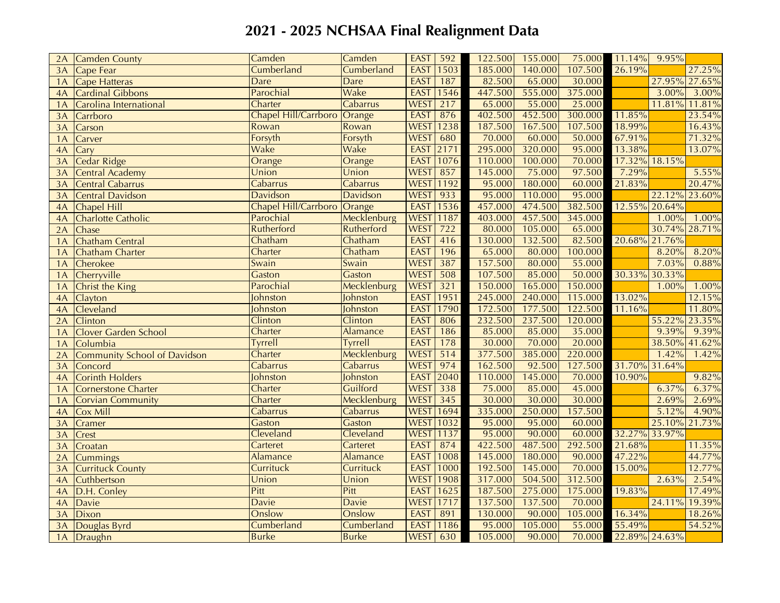| 2A | <b>Camden County</b>                | Camden               | Camden            |             | <b>EAST</b> 592  | 122.500 | 155.000 | 75.000  | 11.14%        | 9.95%         |          |
|----|-------------------------------------|----------------------|-------------------|-------------|------------------|---------|---------|---------|---------------|---------------|----------|
| 3A | <b>Cape Fear</b>                    | <b>Cumberland</b>    | <b>Cumberland</b> | <b>EAST</b> | 1503             | 185.000 | 140.000 | 107.500 | 26.19%        |               | 27.25%   |
| 1A | Cape Hatteras                       | <b>Dare</b>          | <b>Dare</b>       | <b>EAST</b> | 187              | 82.500  | 65.000  | 30.000  |               | 27.95%        | 27.65%   |
| 4A | <b>Cardinal Gibbons</b>             | Parochial            | Wake              | <b>EAST</b> | 1546             | 447.500 | 555.000 | 375.000 |               | $3.00\%$      | $3.00\%$ |
| 1A | Carolina International              | Charter              | Cabarrus          | <b>WEST</b> | 217              | 65.000  | 55.000  | 25.000  |               | 11.81% 11.81% |          |
| 3A | Carrboro                            | Chapel Hill/Carrboro | Orange            | <b>EAST</b> | 876              | 402.500 | 452.500 | 300.000 | 11.85%        |               | 23.54%   |
| 3A | Carson                              | Rowan                | Rowan             | <b>WEST</b> | 1238             | 187.500 | 167.500 | 107.500 | 18.99%        |               | 16.43%   |
| 1A | Carver                              | Forsyth<br>Wake      | Forsyth           | <b>WEST</b> | 680              | 70.000  | 60.000  | 50.000  | 67.91%        |               | 71.32%   |
| 4A | Cary                                |                      | Wake              | <b>EAST</b> | 2171             | 295.000 | 320.000 | 95.000  | 13.38%        |               | 13.07%   |
| 3A | Cedar Ridge                         | Orange               | Orange            | <b>EAST</b> | 1076             | 110.000 | 100.000 | 70.000  |               | 17.32% 18.15% |          |
| 3A | Central Academy                     | Union                | Union             | <b>WEST</b> | 857              | 145.000 | 75.000  | 97.500  | 7.29%         |               | 5.55%    |
| 3A | <b>Central Cabarrus</b>             | <b>Cabarrus</b>      | Cabarrus          | <b>WEST</b> | 1192             | 95.000  | 180.000 | 60.000  | 21.83%        |               | 20.47%   |
| 3A | Central Davidson                    | Davidson             | Davidson          | <b>WEST</b> | 933              | 95.000  | 110.000 | 95.000  |               | 22.12% 23.60% |          |
| 4A | Chapel Hill                         | Chapel Hill/Carrboro | Orange            | <b>EAST</b> | 1536             | 457.000 | 474.500 | 382.500 |               | 12.55% 20.64% |          |
| 4A | Charlotte Catholic                  | Parochial            | Mecklenburg       | <b>WEST</b> | 1187             | 403.000 | 457.500 | 345.000 |               | 1.00%         | 1.00%    |
| 2A | Chase                               | Rutherford           | Rutherford        | <b>WEST</b> | 722              | 80.000  | 105.000 | 65.000  |               | 30.74%        | 28.71%   |
| 1A | <b>Chatham Central</b>              | Chatham              | Chatham           | <b>EAST</b> | 416              | 130.000 | 132.500 | 82.500  |               | 20.68% 21.76% |          |
| 1A | Chatham Charter                     | Charter              | Chatham           | <b>EAST</b> | 196              | 65.000  | 80.000  | 100.000 |               | 8.20%         | 8.20%    |
| 1A | Cherokee                            | Swain                | Swain             | <b>WEST</b> | 387              | 157.500 | 80.000  | 55.000  |               | 7.03%         | 0.88%    |
| 1A | Cherryville                         | Gaston               | Gaston            | <b>WEST</b> | 508              | 107.500 | 85.000  | 50.000  |               | 30.33% 30.33% |          |
| 1A | <b>Christ the King</b>              | Parochial            | Mecklenburg       | <b>WEST</b> | 321              | 150.000 | 165.000 | 150.000 |               | 1.00%         | 1.00%    |
| 4A | Clayton                             | Johnston             | Johnston          | <b>EAST</b> | 1951             | 245.000 | 240.000 | 115.000 | 13.02%        |               | 12.15%   |
| 4A | Cleveland                           | Johnston             | Johnston          | <b>EAST</b> | 1790             | 172.500 | 177.500 | 122.500 | 11.16%        |               | 11.80%   |
| 2A | Clinton                             | Clinton              | Clinton           | <b>EAST</b> | 806              | 232.500 | 237.500 | 120.000 |               | 55.22%        | 23.35%   |
| 1A | <b>Clover Garden School</b>         | Charter              | <b>Alamance</b>   | <b>EAST</b> | 186              | 85.000  | 85.000  | 35.000  |               | 9.39%         | 9.39%    |
| 1A | Columbia                            | <b>Tyrrell</b>       | Tyrrell           | <b>EAST</b> | 178              | 30.000  | 70.000  | 20.000  |               | 38.50%        | 41.62%   |
| 2A | <b>Community School of Davidson</b> | Charter              | Mecklenburg       | <b>WEST</b> | 514              | 377.500 | 385.000 | 220.000 |               | 1.42%         | 1.42%    |
| 3A | Concord                             | <b>Cabarrus</b>      | Cabarrus          | <b>WEST</b> | 974              | 162.500 | 92.500  | 127.500 | 31.70% 31.64% |               |          |
| 4A | <b>Corinth Holders</b>              | Johnston             | Johnston          | <b>EAST</b> | 2040             | 110.000 | 145.000 | 70.000  | 10.90%        |               | 9.82%    |
| 1A | Cornerstone Charter                 | Charter              | Guilford          | <b>WEST</b> | 338              | 75.000  | 85.000  | 45.000  |               | 6.37%         | 6.37%    |
| 1A | <b>Corvian Community</b>            | Charter              | Mecklenburg       | <b>WEST</b> | 345              | 30.000  | 30.000  | 30.000  |               | 2.69%         | 2.69%    |
| 4A | <b>Cox Mill</b>                     | <b>Cabarrus</b>      | Cabarrus          | <b>WEST</b> | 1694             | 335.000 | 250.000 | 157.500 |               | 5.12%         | 4.90%    |
| 3A | Cramer                              | Gaston               | Gaston            | <b>WEST</b> | 1032             | 95.000  | 95.000  | 60.000  |               | 25.10% 21.73% |          |
| 3A | Crest                               | Cleveland            | Cleveland         | <b>WEST</b> | 1137             | 95.000  | 90.000  | 60.000  |               | 32.27% 33.97% |          |
| 3A | Croatan                             | Carteret             | Carteret          | <b>EAST</b> | 874              | 422.500 | 487.500 | 292.500 | 21.68%        |               | 11.35%   |
| 2A | Cummings                            | <b>Alamance</b>      | Alamance          | <b>EAST</b> | 1008             | 145.000 | 180.000 | 90.000  | 47.22%        |               | 44.77%   |
| 3A | <b>Currituck County</b>             | Currituck            | Currituck         | <b>EAST</b> | 1000             | 192.500 | 145.000 | 70.000  | 15.00%        |               | 12.77%   |
| 4A | Cuthbertson                         | Union                | Union             |             | <b>WEST</b> 1908 | 317.000 | 504.500 | 312.500 |               | 2.63%         | 2.54%    |
| 4A | D.H. Conley                         | Pitt                 | Pitt              | <b>EAST</b> | 1625             | 187.500 | 275.000 | 175.000 | 19.83%        |               | 17.49%   |
| 4A | Davie                               | <b>Davie</b>         | <b>Davie</b>      | <b>WEST</b> | 1717             | 137.500 | 137.500 | 70.000  |               | 24.11%        | 19.39%   |
| 3A | <b>Dixon</b>                        | Onslow               | Onslow            | <b>EAST</b> | 891              | 130.000 | 90.000  | 105.000 | 16.34%        |               | 18.26%   |
| 3A | Douglas Byrd                        | <b>Cumberland</b>    | <b>Cumberland</b> | <b>EAST</b> | 1186             | 95.000  | 105.000 | 55.000  | 55.49%        |               | 54.52%   |
|    | 1A Draughn                          | <b>Burke</b>         | <b>Burke</b>      | <b>WEST</b> | 630              | 105.000 | 90.000  | 70.000  | 22.89% 24.63% |               |          |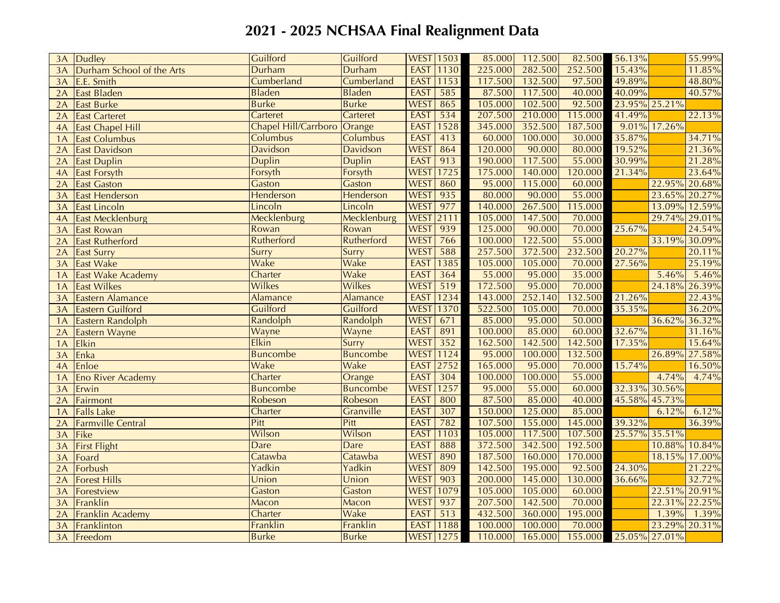| 3A | Dudley                    | <b>Guilford</b>             | Guilford           | <b>WEST</b> 1503 |      | 85.000  | 112.500 | 82.500                | 56.13% |               | 55.99%      |
|----|---------------------------|-----------------------------|--------------------|------------------|------|---------|---------|-----------------------|--------|---------------|-------------|
| 3A | Durham School of the Arts | Durham                      | Durham             | <b>EAST</b>      | 1130 | 225.000 | 282.500 | 252.500               | 15.43% |               | 11.85%      |
| 3A | E.E. Smith                | <b>Cumberland</b>           | <b>Cumberland</b>  | <b>EAST</b>      | 1153 | 117.500 | 132.500 | 97.500                | 49.89% |               | 48.80%      |
| 2A | <b>East Bladen</b>        | <b>Bladen</b>               | <b>Bladen</b>      | <b>EAST</b>      | 585  | 87.500  | 117.500 | 40.000                | 40.09% |               | 40.57%      |
| 2A | <b>East Burke</b>         | <b>Burke</b>                | <b>Burke</b>       | <b>WEST</b>      | 865  | 105.000 | 102.500 | 92.500                |        | 23.95% 25.21% |             |
| 2A | <b>East Carteret</b>      | Carteret                    | Carteret           | <b>EAST</b>      | 534  | 207.500 | 210.000 | 115.000               | 41.49% |               | 22.13%      |
| 4A | <b>East Chapel Hill</b>   | <b>Chapel Hill/Carrboro</b> | Orange             | <b>EAST</b>      | 1528 | 345.000 | 352.500 | 187.500               |        | 9.01% 17.26%  |             |
| 1A | <b>East Columbus</b>      | <b>Columbus</b>             | <b>Columbus</b>    | <b>EAST</b>      | 413  | 60.000  | 100.000 | 30.000                | 35.87% |               | 34.71%      |
| 2A | <b>East Davidson</b>      | <b>Davidson</b>             | Davidson           | <b>WEST</b>      | 864  | 120.000 | 90.000  | 80.000                | 19.52% |               | 21.36%      |
| 2A | <b>East Duplin</b>        | <b>Duplin</b>               | <b>Duplin</b>      | <b>EAST</b>      | 913  | 190.000 | 117.500 | 55.000                | 30.99% |               | 21.28%      |
| 4A | <b>East Forsyth</b>       | Forsyth                     | Forsyth            | <b>WEST</b>      | 1725 | 175.000 | 140.000 | 120.000               | 21.34% |               | 23.64%      |
| 2A | <b>East Gaston</b>        | Gaston                      | Gaston             | <b>WEST</b>      | 860  | 95.000  | 115.000 | 60.000                |        | 22.95% 20.68% |             |
| 3A | <b>East Henderson</b>     | Henderson                   | Henderson          | <b>WEST</b>      | 935  | 80.000  | 90.000  | 55.000                |        | 23.65% 20.27% |             |
| 3A | <b>East Lincoln</b>       | Lincoln                     | Lincoln            | <b>WEST</b>      | 977  | 140.000 | 267.500 | 115.000               |        | 13.09% 12.59% |             |
| 4A | <b>East Mecklenburg</b>   | Mecklenburg                 | <b>Mecklenburg</b> | <b>WEST</b>      | 2111 | 105.000 | 147.500 | 70.000                |        | 29.74% 29.01% |             |
| 3A | <b>East Rowan</b>         | Rowan                       | Rowan              | <b>WEST</b>      | 939  | 125.000 | 90.000  | 70.000                | 25.67% |               | 24.54%      |
| 2A | <b>East Rutherford</b>    | Rutherford                  | Rutherford         | <b>WEST</b>      | 766  | 100.000 | 122.500 | 55.000                |        | 33.19% 30.09% |             |
| 2A | <b>East Surry</b>         | Surry                       | Surry              | <b>WEST</b>      | 588  | 257.500 | 372.500 | 232.500               | 20.27% |               | 20.11%      |
| 3A | <b>East Wake</b>          | Wake                        | Wake               | <b>EAST</b>      | 1385 | 105.000 | 105.000 | 70.000                | 27.56% |               | 25.19%      |
| 1A | East Wake Academy         | Charter                     | Wake               | <b>EAST</b>      | 364  | 55.000  | 95.000  | 35.000                |        |               | 5.46% 5.46% |
| 1A | <b>East Wilkes</b>        | <b>Wilkes</b>               | <b>Wilkes</b>      | <b>WEST</b>      | 519  | 172.500 | 95.000  | 70.000                |        | 24.18% 26.39% |             |
| 3A | Eastern Alamance          | <b>Alamance</b>             | <b>Alamance</b>    | <b>EAST</b>      | 1234 | 143.000 | 252.140 | 132.500               | 21.26% |               | 22.43%      |
| 3A | <b>Eastern Guilford</b>   | Guilford                    | Guilford           | <b>WEST 1370</b> |      | 522.500 | 105.000 | 70.000                | 35.35% |               | 36.20%      |
| 1A | Eastern Randolph          | Randolph                    | Randolph           | <b>WEST</b>      | 671  | 85.000  | 95.000  | 50.000                |        | 36.62% 36.32% |             |
| 2A | <b>Eastern Wayne</b>      | Wayne                       | Wayne              | <b>EAST</b>      | 891  | 100.000 | 85.000  | 60.000                | 32.67% |               | 31.16%      |
| 1A | <b>Elkin</b>              | Elkin                       | Surry              | <b>WEST</b>      | 352  | 162.500 | 142.500 | 142.500               | 17.35% |               | 15.64%      |
| 3A | Enka                      | <b>Buncombe</b>             | <b>Buncombe</b>    | <b>WEST</b>      | 1124 | 95.000  | 100.000 | 132.500               |        | 26.89% 27.58% |             |
| 4A | Enloe                     | Wake                        | Wake               | <b>EAST</b>      | 2752 | 165.000 | 95.000  | 70.000                | 15.74% |               | 16.50%      |
| 1A | <b>Eno River Academy</b>  | Charter                     | Orange             | <b>EAST</b>      | 304  | 100.000 | 100.000 | 55.000                |        | 4.74%         | 4.74%       |
| 3A | Erwin                     | <b>Buncombe</b>             | <b>Buncombe</b>    | <b>WEST</b>      | 1257 | 95.000  | 55.000  | 60.000                |        | 32.33% 30.56% |             |
| 2A | Fairmont                  | Robeson                     | Robeson            | <b>EAST</b>      | 800  | 87.500  | 85.000  | 40.000                |        | 45.58% 45.73% |             |
| 1A | <b>Falls Lake</b>         | Charter                     | Granville          | <b>EAST</b>      | 307  | 150.000 | 125.000 | 85.000                |        | 6.12%         | 6.12%       |
| 2A | <b>Farmville Central</b>  | Pitt                        | Pitt               | <b>EAST</b>      | 782  | 107.500 | 155.000 | 145.000               | 39.32% |               | 36.39%      |
| 3A | Fike                      | Wilson                      | Wilson             | <b>EAST</b>      | 1103 | 105.000 | 117.500 | 107.500               |        | 25.57% 35.51% |             |
| 3A | <b>First Flight</b>       | Dare                        | Dare               | <b>EAST</b>      | 888  | 372.500 | 342.500 | 192.500               |        | 10.88% 10.84% |             |
| 3A | Foard                     | Catawba                     | Catawba            | <b>WEST</b>      | 890  | 187.500 | 160.000 | 170.000               |        | 18.15% 17.00% |             |
| 2A | Forbush                   | Yadkin                      | Yadkin             | <b>WEST</b>      | 809  | 142.500 | 195.000 | 92.500                | 24.30% |               | 21.22%      |
| 2A | <b>Forest Hills</b>       | Union                       | Union              | <b>WEST</b>      | 903  | 200.000 | 145.000 | 130.000               | 36.66% |               | 32.72%      |
| 3A | Forestview                | Gaston                      | Gaston             | <b>WEST</b>      | 1079 | 105.000 | 105.000 | 60.000                |        | 22.51% 20.91% |             |
| 3A | Franklin                  | Macon                       | Macon              | <b>WEST</b>      | 937  | 207.500 | 142.500 | 70.000                |        | 22.31% 22.25% |             |
| 2A | Franklin Academy          | Charter                     | Wake               | <b>EAST</b>      | 513  | 432.500 | 360.000 | 195.000               |        |               | 1.39% 1.39% |
| 3A | Franklinton               | Franklin                    | Franklin           | <b>EAST</b> 1188 |      | 100.000 | 100.000 | 70.000                |        | 23.29% 20.31% |             |
|    | 3A Freedom                | <b>Burke</b>                | <b>Burke</b>       | <b>WEST 1275</b> |      | 110.000 | 165.000 | 155.000 25.05% 27.01% |        |               |             |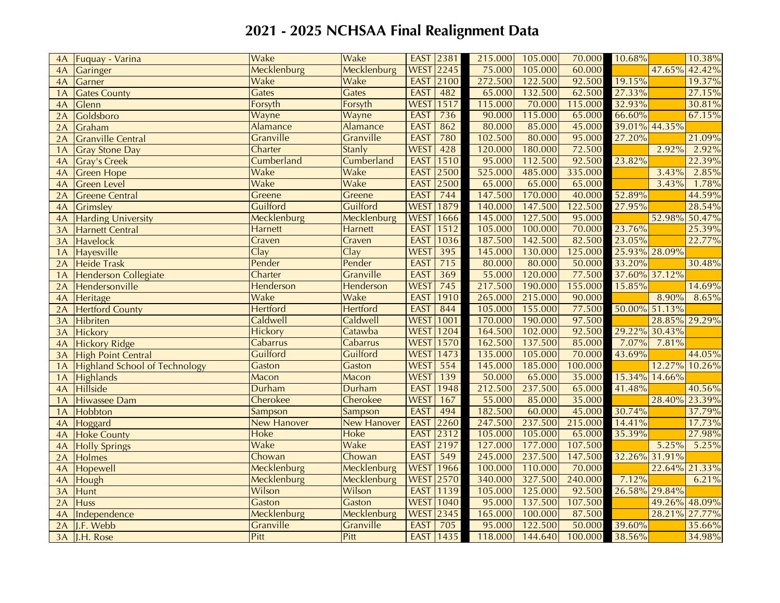| 4A | Fuquay - Varina                      | Wake               | Wake               |             | EAST 2381        | 215.000 | 105.000 | 70.000         | 10.68%        |               | 10.38% |
|----|--------------------------------------|--------------------|--------------------|-------------|------------------|---------|---------|----------------|---------------|---------------|--------|
| 4A | Garinger                             | Mecklenburg        | Mecklenburg        | <b>WEST</b> | 2245             | 75.000  | 105.000 | 60.000         |               | 47.65% 42.42% |        |
| 4A | Garner                               | Wake               | Wake               | <b>EAST</b> | 2100             | 272.500 | 122.500 | 92.500         | 19.15%        |               | 19.37% |
| 1A | <b>Gates County</b>                  | Gates              | <b>Gates</b>       | <b>EAST</b> | 482              | 65.000  | 132.500 | 62.500         | 27.33%        |               | 27.15% |
| 4A | Glenn                                | Forsyth            | Forsyth            |             | <b>WEST</b> 1517 | 115.000 | 70.000  | 115.000        | 32.93%        |               | 30.81% |
| 2A | Goldsboro                            | Wayne              | Wayne              | <b>EAST</b> | 736              | 90.000  | 115.000 | 65.000         | 66.60%        |               | 67.15% |
| 2A | Graham                               | <b>Alamance</b>    | Alamance           | <b>EAST</b> | 862              | 80.000  | 85.000  | 45.000         | 39.01%        | 44.35%        |        |
| 2A | <b>Granville Central</b>             | Granville          | Granville          | <b>EAST</b> | 780              | 102.500 | 80.000  | 95.000         | 27.20%        |               | 21.09% |
| 1A | <b>Gray Stone Day</b>                | Charter            | Stanly             | <b>WEST</b> | 428              | 120.000 | 180.000 | 72.500         |               | 2.92%         | 2.92%  |
| 4A | <b>Gray's Creek</b>                  | Cumberland         | <b>Cumberland</b>  | <b>EAST</b> | 1510             | 95.000  | 112.500 | 92.500         | 23.82%        |               | 22.39% |
| 4A | <b>Green Hope</b>                    | Wake               | Wake               | <b>EAST</b> | 2500             | 525.000 | 485.000 | 335.000        |               | 3.43%         | 2.85%  |
| 4A | <b>Green Level</b>                   | Wake               | Wake               | <b>EAST</b> | 2500             | 65.000  | 65.000  | 65.000         |               | 3.43%         | 1.78%  |
| 2A | <b>Greene Central</b>                | Greene             | Greene             | <b>EAST</b> | 744              | 147.500 | 170.000 | 40.000         | 52.89%        |               | 44.59% |
| 4A | Grimsley                             | Guilford           | Guilford           | <b>WEST</b> | 1879             | 140.000 | 147.500 | 122.500        | 27.95%        |               | 28.54% |
| 4A | <b>Harding University</b>            | Mecklenburg        | Mecklenburg        | <b>WEST</b> | 1666             | 145.000 | 127.500 | 95.000         |               | 52.98% 50.47% |        |
| 3A | <b>Harnett Central</b>               | <b>Harnett</b>     | <b>Harnett</b>     | <b>EAST</b> | 1512             | 105.000 | 100.000 | 70.000         | 23.76%        |               | 25.39% |
| 3A | <b>Havelock</b>                      | Craven             | Craven             | <b>EAST</b> | 1036             | 187.500 | 142.500 | 82.500         | 23.05%        |               | 22.77% |
| 1A | Hayesville                           | Clav               | Clav               | <b>WEST</b> | 395              | 145.000 | 130.000 | 125.000        |               | 25.93% 28.09% |        |
| 2A | <b>Heide Trask</b>                   | Pender             | Pender             | <b>EAST</b> | 715              | 80.000  | 80.000  | 50.000         | 33.20%        |               | 30.48% |
| 1A | <b>Henderson Collegiate</b>          | Charter            | Granville          | <b>EAST</b> | 369              | 55.000  | 120.000 | 77.500         | 37.60% 37.12% |               |        |
| 2A | Hendersonville                       | Henderson          | Henderson          | <b>WEST</b> | 745              | 217.500 | 190.000 | 155.000        | 15.85%        |               | 14.69% |
| 4A | Heritage                             | Wake               | Wake               | <b>EAST</b> | 1910             | 265.000 | 215.000 | 90.000         |               | 8.90%         | 8.65%  |
| 2A | <b>Hertford County</b>               | <b>Hertford</b>    | <b>Hertford</b>    | <b>EAST</b> | 844              | 105.000 | 155.000 | 77.500         | 50.00%        | 51.13%        |        |
| 3A | <b>Hibriten</b>                      | Caldwell           | Caldwell           | <b>WEST</b> | 1001             | 170.000 | 190.000 | 97.500         |               | 28.85% 29.29% |        |
| 3A | <b>Hickory</b>                       | <b>Hickory</b>     | Catawba            | <b>WEST</b> | 1204             | 164.500 | 102.000 | 92.500         | 29.22%        | 30.43%        |        |
| 4A | <b>Hickory Ridge</b>                 | Cabarrus           | Cabarrus           | <b>WEST</b> | 1570             | 162.500 | 137.500 | 85.000         | $7.07\%$      | 7.81%         |        |
| 3A | High Point Central                   | Guilford           | Guilford           | <b>WEST</b> | 1473             | 135.000 | 105.000 | 70.000         | 43.69%        |               | 44.05% |
| 1A | <b>Highland School of Technology</b> | Gaston             | Gaston             | <b>WEST</b> | 554              | 145.000 | 185.000 | 100.000        |               | 12.27% 10.26% |        |
| 1A | <b>Highlands</b>                     | Macon              | Macon              | <b>WEST</b> | 139              | 50.000  | 65.000  | 35.000         | 15.34%        | 14.66%        |        |
| 4A | <b>Hillside</b>                      | Durham             | Durham             | <b>EAST</b> | 1948             | 212.500 | 237.500 | 65.000         | 41.48%        |               | 40.56% |
| 1A | <b>Hiwassee Dam</b>                  | Cherokee           | Cherokee           | <b>WEST</b> | 167              | 55.000  | 85.000  | 35.000         |               | 28.40% 23.39% |        |
| 1A | <b>Hobbton</b>                       | <b>Sampson</b>     | <b>Sampson</b>     | <b>EAST</b> | 494              | 182.500 | 60.000  | 45.000         | 30.74%        |               | 37.79% |
| 4A | Hoggard                              | <b>New Hanover</b> | <b>New Hanover</b> | <b>EAST</b> | 2260             | 247.500 | 237.500 | 215.000        | 14.41%        |               | 17.73% |
| 4A | <b>Hoke County</b>                   | <b>Hoke</b>        | <b>Hoke</b>        | <b>EAST</b> | 2312             | 105.000 | 105.000 | 65.000         | 35.39%        |               | 27.98% |
| 4A | <b>Holly Springs</b>                 | Wake               | Wake               | <b>EAST</b> | 2197             | 127.000 | 177.000 | 107.500        |               | 5.25%         | 5.25%  |
| 2A | <b>Holmes</b>                        | Chowan             | Chowan             | <b>EAST</b> | 549              | 245.000 | 237.500 | 147.500        | 32.26%        | 31.91%        |        |
| 4A | <b>Hopewell</b>                      | Mecklenburg        | Mecklenburg        | <b>WEST</b> | 1966             | 100.000 | 110.000 | 70.000         |               | 22.64% 21.33% |        |
| 4A | Hough                                | Mecklenburg        | Mecklenburg        |             | <b>WEST</b> 2570 | 340.000 | 327.500 | 240.000        | 7.12%         |               | 6.21%  |
| 3A | <b>Hunt</b>                          | Wilson             | Wilson             | <b>EAST</b> | 1139             | 105.000 | 125.000 | 92.500         | 26.58% 29.84% |               |        |
| 2A | <b>Huss</b>                          | Gaston             | Gaston             |             | <b>WEST</b> 1040 | 95.000  | 137.500 | 107.500        |               | 49.26% 48.09% |        |
| 4A | Independence                         | Mecklenburg        | Mecklenburg        | <b>WEST</b> | 2345             | 165.000 | 100.000 | 87.500         |               | 28.21% 27.77% |        |
| 2A | J.F. Webb                            | Granville          | Granville          | <b>EAST</b> | 705              | 95.000  | 122.500 | 50.000         | 39.60%        |               | 35.66% |
|    | 3A J.H. Rose                         | Pitt               | Pitt               |             | <b>EAST</b> 1435 | 118.000 | 144.640 | 100.000 38.56% |               |               | 34.98% |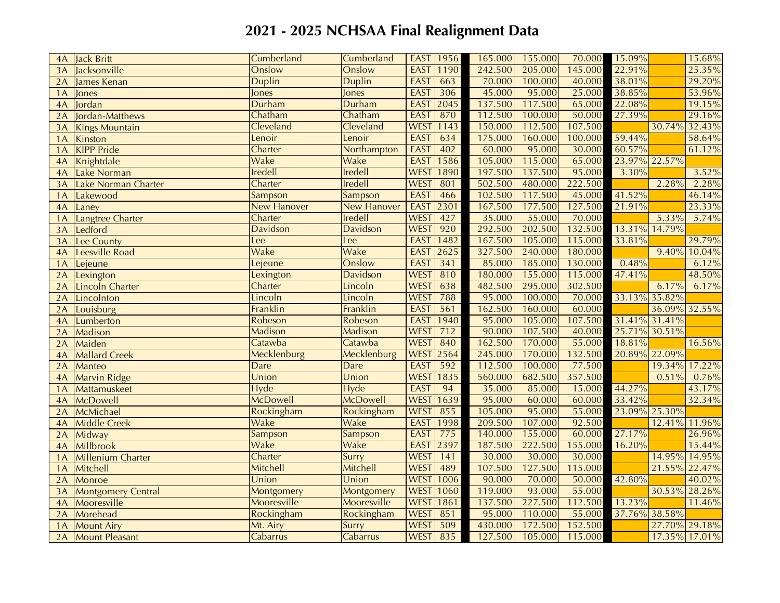| 4A | Jack Britt                | Cumberland         | Cumberland         |             | <b>EAST</b> 1956 | 165.000 | 155.000 | 70.000  | 15.09% |               | 15.68%       |
|----|---------------------------|--------------------|--------------------|-------------|------------------|---------|---------|---------|--------|---------------|--------------|
| 3A | Jacksonville              | Onslow             | Onslow             | <b>EAST</b> | 1190             | 242.500 | 205.000 | 145.000 | 22.91% |               | 25.35%       |
| 2A | James Kenan               | <b>Duplin</b>      | <b>Duplin</b>      | <b>EAST</b> | 663              | 70.000  | 100.000 | 40.000  | 38.01% |               | 29.20%       |
| 1A | Jones                     | Jones              | Jones              | <b>EAST</b> | 306              | 45.000  | 95.000  | 25.000  | 38.85% |               | 53.96%       |
| 4A | Jordan                    | Durham             | Durham             | <b>EAST</b> | 2045             | 137.500 | 117.500 | 65.000  | 22.08% |               | 19.15%       |
| 2A | Jordan-Matthews           | Chatham            | Chatham            | <b>EAST</b> | 870              | 112.500 | 100.000 | 50.000  | 27.39% |               | 29.16%       |
| 3A | <b>Kings Mountain</b>     | <b>Cleveland</b>   | Cleveland          | <b>WEST</b> | 1143             | 150.000 | 112.500 | 107.500 |        | 30.74% 32.43% |              |
| 1A | Kinston                   | Lenoir             | Lenoir             | <b>EAST</b> | 634              | 175.000 | 160.000 | 100.000 | 59.44% |               | 58.64%       |
| 1A | <b>KIPP Pride</b>         | Charter            | Northampton        | EAST        | 402              | 60.000  | 95.000  | 30.000  | 60.57% |               | 61.12%       |
| 4A | Knightdale                | Wake               | Wake               | <b>EAST</b> | 1586             | 105.000 | 115.000 | 65.000  |        | 23.97% 22.57% |              |
| 4A | Lake Norman               | Iredell            | Iredell            | <b>WEST</b> | 1890             | 197.500 | 137.500 | 95.000  | 3.30%  |               | 3.52%        |
| 3A | Lake Norman Charter       | Charter            | Iredell            | <b>WEST</b> | 801              | 502.500 | 480.000 | 222.500 |        | 2.28%         | 2.28%        |
| 1A | Lakewood                  | <b>Sampson</b>     | Sampson            | <b>EAST</b> | 466              | 102.500 | 117.500 | 45.000  | 41.52% |               | 46.14%       |
| 4A | Laney                     | <b>New Hanover</b> | <b>New Hanover</b> | <b>EAST</b> | 2301             | 167.500 | 177.500 | 127.500 | 21.91% |               | 23.33%       |
| 1A | Langtree Charter          | Charter            | Iredell            | <b>WEST</b> | 427              | 35.000  | 55.000  | 70.000  |        | $5.33\%$      | 5.74%        |
| 3A | Ledford                   | Davidson           | Davidson           | <b>WEST</b> | 920              | 292.500 | 202.500 | 132.500 | 13.31% | 14.79%        |              |
| 3A | Lee County                | Lee                | Lee                | <b>EAST</b> | 1482             | 167.500 | 105.000 | 115.000 | 33.81% |               | 29.79%       |
| 4A | Leesville Road            | Wake               | Wake               | <b>EAST</b> | 2625             | 327.500 | 240.000 | 180.000 |        |               | 9.40% 10.04% |
| 1A | Lejeune                   | Lejeune            | Onslow             | <b>EAST</b> | 341              | 85.000  | 185.000 | 130.000 | 0.48%  |               | 6.12%        |
| 2A | Lexington                 | Lexington          | Davidson           | <b>WEST</b> | 810              | 180.000 | 155.000 | 115.000 | 47.41% |               | 48.50%       |
| 2A | <b>Lincoln Charter</b>    | Charter            | Lincoln            | <b>WEST</b> | 638              | 482.500 | 295.000 | 302.500 |        | 6.17%         | 6.17%        |
| 2A | Lincolnton                | Lincoln            | Lincoln            | <b>WEST</b> | 788              | 95.000  | 100.000 | 70.000  |        | 33.13% 35.82% |              |
| 2A | Louisburg                 | Franklin           | Franklin           | <b>EAST</b> | 561              | 162.500 | 160.000 | 60.000  |        | 36.09% 32.55% |              |
| 4A | Lumberton                 | Robeson            | Robeson            | <b>EAST</b> | 1940             | 95.000  | 105.000 | 107.500 |        | 31.41% 31.41% |              |
| 2A | Madison                   | Madison            | Madison            | <b>WEST</b> | 712              | 90.000  | 107.500 | 40.000  |        | 25.71% 30.51% |              |
| 2A | Maiden                    | Catawba            | Catawba            | <b>WEST</b> | 840              | 162.500 | 170.000 | 55.000  | 18.81% |               | 16.56%       |
| 4A | <b>Mallard Creek</b>      | Mecklenburg        | <b>Mecklenburg</b> | <b>WEST</b> | 2564             | 245.000 | 170.000 | 132.500 |        | 20.89% 22.09% |              |
| 2A | Manteo                    | <b>Dare</b>        | <b>Dare</b>        | <b>EAST</b> | 592              | 112.500 | 100.000 | 77.500  |        | 19.34% 17.22% |              |
| 4A | <b>Marvin Ridge</b>       | Union              | Union              | <b>WEST</b> | 1835             | 560.000 | 682.500 | 357.500 |        | 0.51%         | 0.76%        |
| 1A | Mattamuskeet              | <b>Hyde</b>        | <b>Hyde</b>        | <b>EAST</b> | 94               | 35.000  | 85.000  | 15.000  | 44.27% |               | 43.17%       |
| 4A | McDowell                  | McDowell           | McDowell           | <b>WEST</b> | 1639             | 95.000  | 60.000  | 60.000  | 33.42% |               | 32.34%       |
| 2A | McMichael                 | Rockingham         | Rockingham         | <b>WEST</b> | 855              | 105.000 | 95.000  | 55.000  |        | 23.09% 25.30% |              |
| 4A | <b>Middle Creek</b>       | Wake               | Wake               | <b>EAST</b> | 1998             | 209.500 | 107.000 | 92.500  |        | 12.41% 11.96% |              |
| 2A | Midway                    | <b>Sampson</b>     | <b>Sampson</b>     | <b>EAST</b> | 775              | 140.000 | 155.000 | 60.000  | 27.17% |               | 26.96%       |
| 4A | Millbrook                 | Wake               | Wake               | <b>EAST</b> | 2397             | 187.500 | 222.500 | 155.000 | 16.20% |               | 15.44%       |
| 1A | Millenium Charter         | Charter            | Surry              | <b>WEST</b> | 141              | 30.000  | 30.000  | 30.000  |        | 14.95% 14.95% |              |
| 1A | Mitchell                  | Mitchell           | Mitchell           | <b>WEST</b> | 489              | 107.500 | 127.500 | 115.000 |        | 21.55% 22.47% |              |
| 2A | Monroe                    | Union              | Union              | <b>WEST</b> | 1006             | 90.000  | 70.000  | 50.000  | 42.80% |               | 40.02%       |
| 3A | <b>Montgomery Central</b> | Montgomery         | Montgomery         | <b>WEST</b> | 1060             | 119.000 | 93.000  | 55.000  |        | 30.53% 28.26% |              |
| 4A | Mooresville               | Mooresville        | Mooresville        | <b>WEST</b> | 1861             | 137.500 | 227.500 | 112.500 | 13.23% |               | 11.46%       |
| 2A | Morehead                  | Rockingham         | Rockingham         | <b>WEST</b> | 851              | 95.000  | 110.000 | 55.000  |        | 37.76% 38.58% |              |
| 1A | <b>Mount Airy</b>         | Mt. Airy           | Surry              | <b>WEST</b> | 509              | 430.000 | 172.500 | 152.500 |        | 27.70% 29.18% |              |
|    | 2A Mount Pleasant         | Cabarrus           | Cabarrus           | <b>WEST</b> | 835              | 127.500 | 105.000 | 115.000 |        | 17.35% 17.01% |              |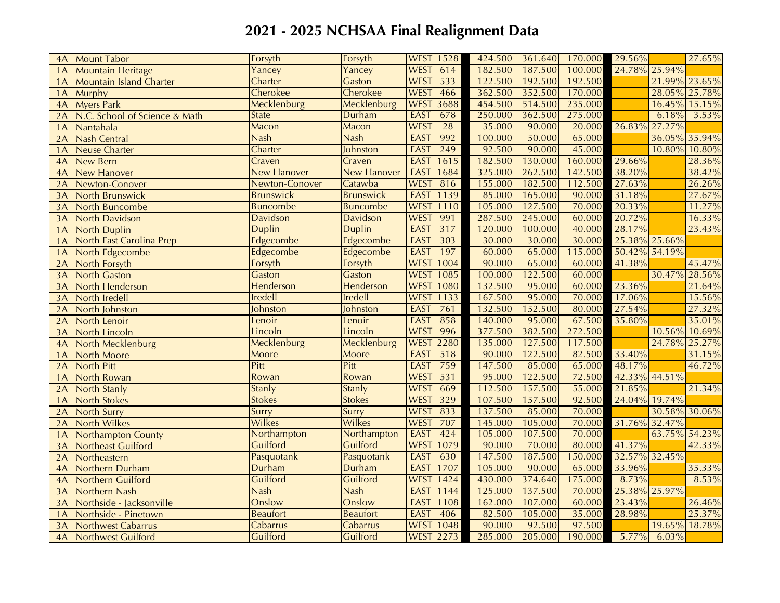| 4A | <b>Mount Tabor</b>             | Forsyth            | Forsyth            | <b>WEST</b> 1528 |      | 424.500 | 361.640 | 170.000 | 29.56%        |               | 27.65% |
|----|--------------------------------|--------------------|--------------------|------------------|------|---------|---------|---------|---------------|---------------|--------|
| 1A | <b>Mountain Heritage</b>       | Yancey             | Yancey             | <b>WEST</b>      | 614  | 182.500 | 187.500 | 100.000 | 24.78% 25.94% |               |        |
| 1A | <b>Mountain Island Charter</b> | Charter            | Gaston             | <b>WEST</b>      | 533  | 122.500 | 192.500 | 192.500 |               | 21.99%        | 23.65% |
| 1A | Murphy                         | Cherokee           | Cherokee           | <b>WEST</b>      | 466  | 362.500 | 352.500 | 170.000 |               | 28.05% 25.78% |        |
| 4A | <b>Myers Park</b>              | Mecklenburg        | <b>Mecklenburg</b> | <b>WEST</b>      | 3688 | 454.500 | 514.500 | 235.000 |               | 16.45%        | 15.15% |
| 2A | N.C. School of Science & Math  | <b>State</b>       | Durham             | EAST             | 678  | 250.000 | 362.500 | 275.000 |               | 6.18%         | 3.53%  |
| 1A | Nantahala                      | Macon              | Macon              | <b>WEST</b>      | 28   | 35.000  | 90.000  | 20.000  | 26.83%        | 27.27%        |        |
| 2A | <b>Nash Central</b>            | <b>Nash</b>        | <b>Nash</b>        | <b>EAST</b>      | 992  | 100.000 | 50.000  | 65.000  |               | 36.05%        | 35.94% |
| 1A | <b>Neuse Charter</b>           | Charter            | Johnston           | <b>EAST</b>      | 249  | 92.500  | 90.000  | 45.000  |               | 10.80%        | 10.80% |
| 4A | <b>New Bern</b>                | Craven             | Craven             | <b>EAST</b>      | 1615 | 182.500 | 130.000 | 160.000 | 29.66%        |               | 28.36% |
| 4A | <b>New Hanover</b>             | <b>New Hanover</b> | <b>New Hanover</b> | <b>EAST</b>      | 1684 | 325.000 | 262.500 | 142.500 | 38.20%        |               | 38.42% |
| 2A | Newton-Conover                 | Newton-Conover     | Catawba            | <b>WEST</b>      | 816  | 155.000 | 182.500 | 112.500 | 27.63%        |               | 26.26% |
| 3A | North Brunswick                | <b>Brunswick</b>   | <b>Brunswick</b>   | <b>EAST</b>      | 1139 | 85.000  | 165.000 | 90.000  | 31.18%        |               | 27.67% |
| 3A | North Buncombe                 | <b>Buncombe</b>    | <b>Buncombe</b>    | <b>WEST</b>      | 1110 | 105.000 | 127.500 | 70.000  | 20.33%        |               | 11.27% |
| 3A | <b>North Davidson</b>          | Davidson           | Davidson           | <b>WEST</b>      | 991  | 287.500 | 245.000 | 60.000  | 20.72%        |               | 16.33% |
| 1A | <b>North Duplin</b>            | <b>Duplin</b>      | <b>Duplin</b>      | <b>EAST</b>      | 317  | 120.000 | 100.000 | 40.000  | 28.17%        |               | 23.43% |
| 1A | North East Carolina Prep       | Edgecombe          | Edgecombe          | <b>EAST</b>      | 303  | 30.000  | 30.000  | 30.000  | 25.38% 25.66% |               |        |
| 1A | North Edgecombe                | Edgecombe          | Edgecombe          | <b>EAST</b>      | 197  | 60.000  | 65.000  | 115.000 |               | 50.42% 54.19% |        |
| 2A | North Forsyth                  | Forsyth            | Forsyth            | <b>WEST</b>      | 1004 | 90.000  | 65.000  | 60.000  | 41.38%        |               | 45.47% |
| 3A | <b>North Gaston</b>            | Gaston             | Gaston             | <b>WEST</b>      | 1085 | 100.000 | 122.500 | 60.000  |               | 30.47%        | 28.56% |
| 3A | North Henderson                | Henderson          | Henderson          | <b>WEST</b>      | 1080 | 132.500 | 95.000  | 60.000  | 23.36%        |               | 21.64% |
| 3A | North Iredell                  | Iredell            | Iredell            | <b>WEST</b>      | 1133 | 167.500 | 95.000  | 70.000  | 17.06%        |               | 15.56% |
| 2A | North Johnston                 | Johnston           | Johnston           | <b>EAST</b>      | 761  | 132.500 | 152.500 | 80.000  | 27.54%        |               | 27.32% |
| 2A | North Lenoir                   | Lenoir             | Lenoir             | <b>EAST</b>      | 858  | 140.000 | 95.000  | 67.500  | 35.80%        |               | 35.01% |
| 3A | <b>North Lincoln</b>           | Lincoln            | Lincoln            | <b>WEST</b>      | 996  | 377.500 | 382.500 | 272.500 |               | 10.56%        | 10.69% |
| 4A | North Mecklenburg              | Mecklenburg        | <b>Mecklenburg</b> | <b>WEST</b>      | 2280 | 135.000 | 127.500 | 117.500 |               | 24.78%        | 25.27% |
| 1A | <b>North Moore</b>             | Moore              | Moore              | <b>EAST</b>      | 518  | 90.000  | 122.500 | 82.500  | 33.40%        |               | 31.15% |
| 2A | <b>North Pitt</b>              | Pitt               | Pitt               | <b>EAST</b>      | 759  | 147.500 | 85.000  | 65.000  | 48.17%        |               | 46.72% |
| 1A | <b>North Rowan</b>             | Rowan              | Rowan              | <b>WEST</b>      | 531  | 95.000  | 122.500 | 72.500  |               | 42.33% 44.51% |        |
| 2A | North Stanly                   | <b>Stanly</b>      | <b>Stanly</b>      | <b>WEST</b>      | 669  | 112.500 | 157.500 | 55.000  | 21.85%        |               | 21.34% |
| 1A | <b>North Stokes</b>            | <b>Stokes</b>      | <b>Stokes</b>      | <b>WEST</b>      | 329  | 107.500 | 157.500 | 92.500  | 24.04%        | 19.74%        |        |
| 2A | <b>North Surry</b>             | Surry              | Surry              | <b>WEST</b>      | 833  | 137.500 | 85.000  | 70.000  |               | 30.58%        | 30.06% |
| 2A | <b>North Wilkes</b>            | Wilkes             | Wilkes             | <b>WEST</b>      | 707  | 145.000 | 105.000 | 70.000  | 31.76% 32.47% |               |        |
| 1A | <b>Northampton County</b>      | Northampton        | Northampton        | EAST             | 424  | 105.000 | 107.500 | 70.000  |               | 63.75%        | 54.23% |
| 3A | <b>Northeast Guilford</b>      | Guilford           | Guilford           | <b>WEST</b>      | 1079 | 90.000  | 70.000  | 80.000  | 41.37%        |               | 42.33% |
| 2A | Northeastern                   | Pasquotank         | Pasquotank         | <b>EAST</b>      | 630  | 147.500 | 187.500 | 150.000 | 32.57% 32.45% |               |        |
| 4A | Northern Durham                | <b>Durham</b>      | <b>Durham</b>      | <b>EAST</b>      | 1707 | 105.000 | 90.000  | 65.000  | 33.96%        |               | 35.33% |
| 4A | Northern Guilford              | Guilford           | Guilford           | <b>WEST</b>      | 1424 | 430.000 | 374.640 | 175.000 | 8.73%         |               | 8.53%  |
| 3A | Northern Nash                  | <b>Nash</b>        | <b>Nash</b>        | <b>EAST</b>      | 1144 | 125.000 | 137.500 | 70.000  | 25.38% 25.97% |               |        |
| 3A | Northside - Jacksonville       | Onslow             | Onslow             | <b>EAST</b>      | 1108 | 162.000 | 107.000 | 60.000  | 23.43%        |               | 26.46% |
| 1A | Northside - Pinetown           | <b>Beaufort</b>    | <b>Beaufort</b>    | <b>EAST</b>      | 406  | 82.500  | 105.000 | 35.000  | 28.98%        |               | 25.37% |
| 3A | Northwest Cabarrus             | Cabarrus           | Cabarrus           | <b>WEST</b>      | 1048 | 90.000  | 92.500  | 97.500  |               | 19.65%        | 18.78% |
| 4A | Northwest Guilford             | Guilford           | Guilford           | <b>WEST</b> 2273 |      | 285.000 | 205.000 | 190.000 | $5.77\%$      | $6.03\%$      |        |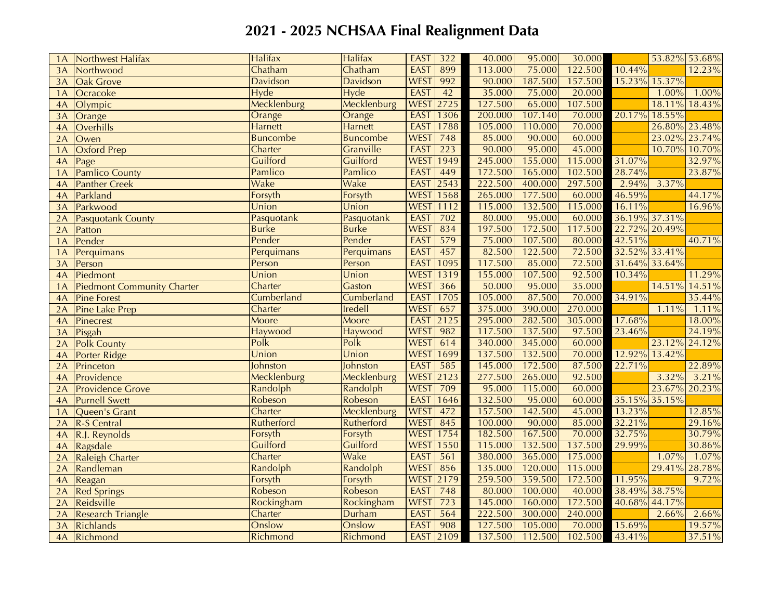| 1A | Northwest Halifax                 | <b>Halifax</b>    | <b>Halifax</b>    | <b>EAST</b><br>$322$ | 40.000  | 95.000  | 30.000  |               | 53.82% 53.68% |          |
|----|-----------------------------------|-------------------|-------------------|----------------------|---------|---------|---------|---------------|---------------|----------|
| 3A | Northwood                         | Chatham           | Chatham           | <b>EAST</b><br>899   | 113.000 | 75.000  | 122.500 | 10.44%        |               | 12.23%   |
| 3A | <b>Oak Grove</b>                  | <b>Davidson</b>   | Davidson          | 992<br><b>WEST</b>   | 90.000  | 187.500 | 157.500 | 15.23%        | 15.37%        |          |
| 1A | Ocracoke                          | Hyde              | Hyde              | 42<br><b>EAST</b>    | 35.000  | 75.000  | 20.000  |               | $1.00\%$      | $1.00\%$ |
| 4A | Olympic                           | Mecklenburg       | Mecklenburg       | <b>WEST</b><br>2725  | 127.500 | 65.000  | 107.500 |               | 18.11% 18.43% |          |
| 3A | Orange                            | Orange            | Orange            | <b>EAST</b><br>1306  | 200.000 | 107.140 | 70.000  | 20.17%        | 18.55%        |          |
| 4A | Overhills                         | <b>Harnett</b>    | <b>Harnett</b>    | <b>EAST</b><br>1788  | 105.000 | 110.000 | 70.000  |               | 26.80% 23.48% |          |
| 2A | Owen                              | <b>Buncombe</b>   | <b>Buncombe</b>   | <b>WEST</b><br>748   | 85.000  | 90.000  | 60.000  |               | 23.02% 23.74% |          |
| 1A | <b>Oxford Prep</b>                | Charter           | Granville         | <b>EAST</b><br>223   | 90.000  | 95.000  | 45.000  |               | 10.70% 10.70% |          |
| 4A | Page                              | Guilford          | Guilford          | <b>WEST</b><br>1949  | 245.000 | 155.000 | 115.000 | 31.07%        |               | 32.97%   |
| 1A | <b>Pamlico County</b>             | Pamlico           | Pamlico           | <b>EAST</b><br>449   | 172.500 | 165.000 | 102.500 | 28.74%        |               | 23.87%   |
| 4A | <b>Panther Creek</b>              | Wake              | Wake              | 2543<br><b>EAST</b>  | 222.500 | 400.000 | 297.500 | 2.94%         | 3.37%         |          |
| 4A | Parkland                          | Forsyth           | Forsyth           | <b>WEST</b><br>1568  | 265.000 | 177.500 | 60.000  | 46.59%        |               | 44.17%   |
| 3A | Parkwood                          | Union             | <b>Union</b>      | <b>WEST</b><br>1112  | 115.000 | 132.500 | 115.000 | 16.11%        |               | 16.96%   |
| 2A | <b>Pasquotank County</b>          | Pasquotank        | Pasquotank        | <b>EAST</b><br>702   | 80.000  | 95.000  | 60.000  | 36.19% 37.31% |               |          |
| 2A | Patton                            | <b>Burke</b>      | <b>Burke</b>      | 834<br><b>WEST</b>   | 197.500 | 172.500 | 117.500 | 22.72%        | 20.49%        |          |
| 1A | Pender                            | Pender            | Pender            | <b>EAST</b><br>579   | 75.000  | 107.500 | 80.000  | 42.51%        |               | 40.71%   |
| 1A | Perquimans                        | Perquimans        | Perquimans        | 457<br><b>EAST</b>   | 82.500  | 122.500 | 72.500  | 32.52% 33.41% |               |          |
| 3A | Person                            | Person            | Person            | <b>EAST</b><br>1095  | 117.500 | 85.000  | 72.500  | 31.64% 33.64% |               |          |
| 4A | Piedmont                          | Union             | Union             | <b>WEST</b><br>1319  | 155.000 | 107.500 | 92.500  | 10.34%        |               | 11.29%   |
| 1A | <b>Piedmont Community Charter</b> | Charter           | Gaston            | <b>WEST</b><br>366   | 50.000  | 95.000  | 35.000  |               | 14.51% 14.51% |          |
| 4A | <b>Pine Forest</b>                | <b>Cumberland</b> | <b>Cumberland</b> | 1705<br><b>EAST</b>  | 105.000 | 87.500  | 70.000  | 34.91%        |               | 35.44%   |
| 2A | <b>Pine Lake Prep</b>             | Charter           | Iredell           | 657<br><b>WEST</b>   | 375.000 | 390.000 | 270.000 |               | $1.11\%$      | 1.11%    |
| 4A | Pinecrest                         | Moore             | Moore             | 2125<br><b>EAST</b>  | 295.000 | 282.500 | 305.000 | 17.68%        |               | 18.00%   |
| 3A | Pisgah                            | Haywood           | Haywood           | <b>WEST</b><br>982   | 117.500 | 137.500 | 97.500  | 23.46%        |               | 24.19%   |
| 2A | <b>Polk County</b>                | Polk              | Polk              | <b>WEST</b><br>614   | 340.000 | 345.000 | 60.000  |               | 23.12% 24.12% |          |
| 4A | <b>Porter Ridge</b>               | Union             | Union             | <b>WEST</b><br>1699  | 137.500 | 132.500 | 70.000  | 12.92%        | 13.42%        |          |
| 2A | Princeton                         | Johnston          | Johnston          | 585<br><b>EAST</b>   | 145.000 | 172.500 | 87.500  | 22.71%        |               | 22.89%   |
| 4A | Providence                        | Mecklenburg       | Mecklenburg       | <b>WEST</b> 2123     | 277.500 | 265.000 | 92.500  |               | $3.32\%$      | 3.21%    |
| 2A | <b>Providence Grove</b>           | Randolph          | Randolph          | <b>WEST</b><br>709   | 95.000  | 115.000 | 60.000  |               | 23.67% 20.23% |          |
| 4A | <b>Purnell Swett</b>              | Robeson           | Robeson           | <b>EAST</b><br>1646  | 132.500 | 95.000  | 60.000  | 35.15%        | 35.15%        |          |
| 1A | Queen's Grant                     | Charter           | Mecklenburg       | <b>WEST</b><br>472   | 157.500 | 142.500 | 45.000  | 13.23%        |               | 12.85%   |
| 2A | R-S Central                       | Rutherford        | <b>Rutherford</b> | 845<br><b>WEST</b>   | 100.000 | 90.000  | 85.000  | 32.21%        |               | 29.16%   |
| 4A | R.J. Reynolds                     | Forsyth           | Forsyth           | <b>WEST</b><br>1754  | 182.500 | 167.500 | 70.000  | 32.75%        |               | 30.79%   |
| 4A | Ragsdale                          | Guilford          | Guilford          | <b>WEST</b><br>1550  | 115.000 | 132.500 | 137.500 | 29.99%        |               | 30.86%   |
| 2A | <b>Raleigh Charter</b>            | Charter           | Wake              | <b>EAST</b><br>561   | 380.000 | 365.000 | 175.000 |               | $1.07\%$      | $1.07\%$ |
| 2A | Randleman                         | Randolph          | Randolph          | <b>WEST</b><br>856   | 135.000 | 120.000 | 115.000 |               | 29.41% 28.78% |          |
| 4A | Reagan                            | Forsyth           | Forsyth           | <b>WEST</b> 2179     | 259.500 | 359.500 | 172.500 | 11.95%        |               | 9.72%    |
| 2A | <b>Red Springs</b>                | Robeson           | Robeson           | 748<br><b>EAST</b>   | 80.000  | 100.000 | 40.000  | 38.49%        | 38.75%        |          |
| 2A | Reidsville                        | Rockingham        | Rockingham        | <b>WEST</b><br>723   | 145.000 | 160.000 | 172.500 | 40.68%        | 44.17%        |          |
| 2A | <b>Research Triangle</b>          | Charter           | Durham            | <b>EAST</b><br>564   | 222.500 | 300.000 | 240.000 |               | 2.66%         | 2.66%    |
| 3A | Richlands                         | Onslow            | Onslow            | 908<br><b>EAST</b>   | 127.500 | 105.000 | 70.000  | 15.69%        |               | 19.57%   |
|    | 4A Richmond                       | Richmond          | Richmond          | <b>EAST 2109</b>     | 137.500 | 112.500 | 102.500 | 43.41%        |               | 37.51%   |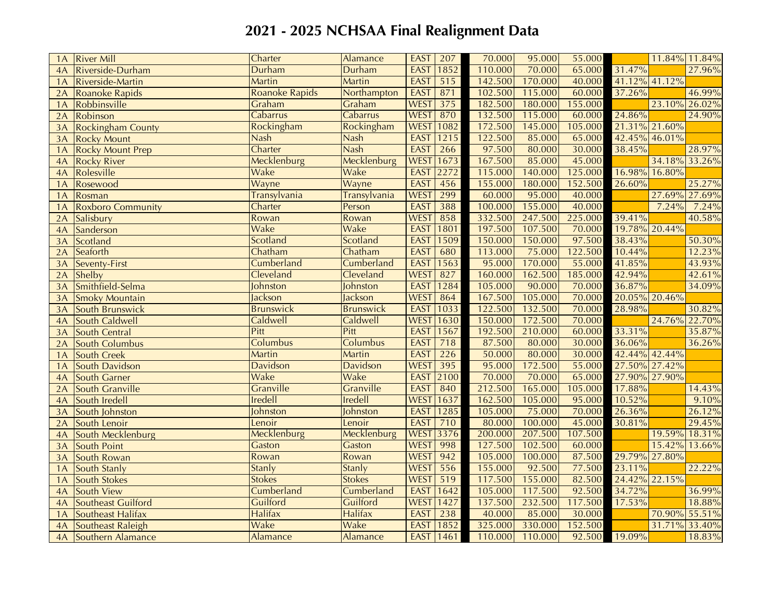| 1A | <b>River Mill</b>         | Charter               | Alamance            | EAST        | 207  | 70.000  | 95.000  | 55.000  |               | 11.84% 11.84% |        |
|----|---------------------------|-----------------------|---------------------|-------------|------|---------|---------|---------|---------------|---------------|--------|
| 4A | <b>Riverside-Durham</b>   | Durham                | <b>Durham</b>       | <b>EAST</b> | 1852 | 110.000 | 70.000  | 65.000  | 31.47%        |               | 27.96% |
| 1A | Riverside-Martin          | <b>Martin</b>         | <b>Martin</b>       | <b>EAST</b> | 515  | 142.500 | 170.000 | 40.000  |               | 41.12% 41.12% |        |
| 2A | <b>Roanoke Rapids</b>     | <b>Roanoke Rapids</b> | Northampton         | <b>EAST</b> | 871  | 102.500 | 115.000 | 60.000  | 37.26%        |               | 46.99% |
| 1A | Robbinsville              | Graham                | Graham              | <b>WEST</b> | 375  | 182.500 | 180.000 | 155.000 |               | 23.10% 26.02% |        |
| 2A | Robinson                  | Cabarrus              | Cabarrus            | <b>WEST</b> | 870  | 132.500 | 115.000 | 60.000  | 24.86%        |               | 24.90% |
| 3A | <b>Rockingham County</b>  | Rockingham            | Rockingham          | <b>WEST</b> | 1082 | 172.500 | 145.000 | 105.000 |               | 21.31% 21.60% |        |
| 3A | <b>Rocky Mount</b>        | <b>Nash</b>           | <b>Nash</b>         | <b>EAST</b> | 1215 | 122.500 | 85.000  | 65.000  |               | 42.45% 46.01% |        |
| 1A | <b>Rocky Mount Prep</b>   | Charter               | <b>Nash</b>         | <b>EAST</b> | 266  | 97.500  | 80.000  | 30.000  | 38.45%        |               | 28.97% |
| 4A | <b>Rocky River</b>        | Mecklenburg           | Mecklenburg         | <b>WEST</b> | 1673 | 167.500 | 85.000  | 45.000  |               | 34.18% 33.26% |        |
| 4A | Rolesville                | Wake                  | Wake                | <b>EAST</b> | 2272 | 115.000 | 140.000 | 125.000 |               | 16.98% 16.80% |        |
| 1A | Rosewood                  | Wayne                 | Wayne               | <b>EAST</b> | 456  | 155.000 | 180.000 | 152.500 | 26.60%        |               | 25.27% |
| 1A | Rosman                    | <b>Transylvania</b>   | <b>Transylvania</b> | <b>WEST</b> | 299  | 60.000  | 95.000  | 40.000  |               | 27.69%        | 27.69% |
| 1A | <b>Roxboro Community</b>  | Charter               | Person              | <b>EAST</b> | 388  | 100.000 | 155.000 | 40.000  |               | 7.24%         | 7.24%  |
| 2A | Salisbury                 | Rowan                 | Rowan               | <b>WEST</b> | 858  | 332.500 | 247.500 | 225.000 | 39.41%        |               | 40.58% |
| 4A | Sanderson                 | Wake                  | Wake                | <b>EAST</b> | 1801 | 197.500 | 107.500 | 70.000  |               | 19.78% 20.44% |        |
| 3A | Scotland                  | Scotland              | Scotland            | <b>EAST</b> | 1509 | 150.000 | 150.000 | 97.500  | 38.43%        |               | 50.30% |
| 2A | Seaforth                  | Chatham               | Chatham             | <b>EAST</b> | 680  | 113.000 | 75.000  | 122.500 | 10.44%        |               | 12.23% |
| 3A | Seventy-First             | <b>Cumberland</b>     | <b>Cumberland</b>   | <b>EAST</b> | 1563 | 95.000  | 170.000 | 55.000  | 41.85%        |               | 43.93% |
| 2A | Shelby                    | Cleveland             | Cleveland           | <b>WEST</b> | 827  | 160.000 | 162.500 | 185.000 | 42.94%        |               | 42.61% |
| 3A | Smithfield-Selma          | Johnston              | Johnston            | <b>EAST</b> | 1284 | 105.000 | 90.000  | 70.000  | 36.87%        |               | 34.09% |
| 3A | <b>Smoky Mountain</b>     | Jackson               | Jackson             | <b>WEST</b> | 864  | 167.500 | 105.000 | 70.000  |               | 20.05% 20.46% |        |
| 3A | South Brunswick           | <b>Brunswick</b>      | <b>Brunswick</b>    | <b>EAST</b> | 1033 | 122.500 | 132.500 | 70.000  | 28.98%        |               | 30.82% |
| 4A | <b>South Caldwell</b>     | Caldwell              | Caldwell            | <b>WEST</b> | 1630 | 150.000 | 172.500 | 70.000  |               | 24.76% 22.70% |        |
| 3A | <b>South Central</b>      | Pitt                  | Pitt                | <b>EAST</b> | 1567 | 192.500 | 210.000 | 60.000  | 33.31%        |               | 35.87% |
| 2A | South Columbus            | <b>Columbus</b>       | <b>Columbus</b>     | <b>EAST</b> | 718  | 87.500  | 80.000  | 30.000  | 36.06%        |               | 36.26% |
| 1A | <b>South Creek</b>        | Martin                | <b>Martin</b>       | <b>EAST</b> | 226  | 50.000  | 80.000  | 30.000  |               | 42.44% 42.44% |        |
| 1A | <b>South Davidson</b>     | Davidson              | Davidson            | <b>WEST</b> | 395  | 95.000  | 172.500 | 55.000  |               | 27.50% 27.42% |        |
| 4A | <b>South Garner</b>       | Wake                  | Wake                | <b>EAST</b> | 2100 | 70.000  | 70.000  | 65.000  |               | 27.90% 27.90% |        |
| 2A | South Granville           | Granville             | Granville           | <b>EAST</b> | 840  | 212.500 | 165.000 | 105.000 | 17.88%        |               | 14.43% |
| 4A | South Iredell             | <b>Iredell</b>        | <b>Iredell</b>      | <b>WEST</b> | 1637 | 162.500 | 105.000 | 95.000  | 10.52%        |               | 9.10%  |
| 3A | South Johnston            | Johnston              | Johnston            | EAST        | 1285 | 105.000 | 75.000  | 70.000  | 26.36%        |               | 26.12% |
| 2A | South Lenoir              | Lenoir                | Lenoir              | <b>EAST</b> | 710  | 80.000  | 100.000 | 45.000  | 30.81%        |               | 29.45% |
| 4A | South Mecklenburg         | Mecklenburg           | Mecklenburg         | <b>WEST</b> | 3376 | 200.000 | 207.500 | 107.500 |               | 19.59% 18.31% |        |
| 3A | South Point               | Gaston                | Gaston              | <b>WEST</b> | 998  | 127.500 | 102.500 | 60.000  |               | 15.42%        | 13.66% |
| 3A | South Rowan               | Rowan                 | Rowan               | <b>WEST</b> | 942  | 105.000 | 100.000 | 87.500  |               | 29.79% 27.80% |        |
| 1A | South Stanly              | <b>Stanly</b>         | <b>Stanly</b>       | <b>WEST</b> | 556  | 155.000 | 92.500  | 77.500  | 23.11%        |               | 22.22% |
| 1A | <b>South Stokes</b>       | Stokes                | <b>Stokes</b>       | <b>WEST</b> | 519  | 117.500 | 155.000 | 82.500  |               | 24.42% 22.15% |        |
| 4A | <b>South View</b>         | Cumberland            | Cumberland          | <b>EAST</b> | 1642 | 105.000 | 117.500 | 92.500  | 34.72%        |               | 36.99% |
| 4A | <b>Southeast Guilford</b> | Guilford              | Guilford            | <b>WEST</b> | 1427 | 137.500 | 232.500 | 117.500 | 17.53%        |               | 18.88% |
| 1A | Southeast Halifax         | <b>Halifax</b>        | <b>Halifax</b>      | <b>EAST</b> | 238  | 40.000  | 85.000  | 30.000  |               | 70.90% 55.51% |        |
| 4A | <b>Southeast Raleigh</b>  | Wake                  | Wake                | <b>EAST</b> | 1852 | 325.000 | 330.000 | 152.500 |               | 31.71% 33.40% |        |
| 4A | Southern Alamance         | Alamance              | Alamance            | EAST        | 1461 | 110.000 | 110.000 |         | 92.500 19.09% |               | 18.83% |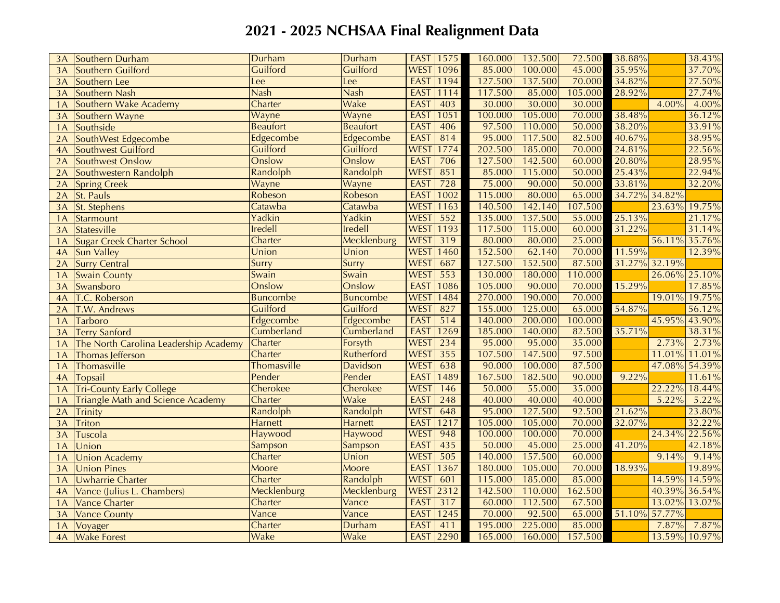| 3A | Southern Durham                          | Durham          | Durham          |                  | <b>EAST 1575</b> | 160.000 | 132.500 | 72.500  | 38.88%   |               | 38.43%        |
|----|------------------------------------------|-----------------|-----------------|------------------|------------------|---------|---------|---------|----------|---------------|---------------|
| 3A | <b>Southern Guilford</b>                 | Guilford        | Guilford        | <b>WEST</b> 1096 |                  | 85.000  | 100.000 | 45.000  | 35.95%   |               | 37.70%        |
| 3A | Southern Lee                             | Lee             | Lee             | <b>EAST</b>      | 1194             | 127.500 | 137.500 | 70.000  | 34.82%   |               | 27.50%        |
| 3A | <b>Southern Nash</b>                     | <b>Nash</b>     | Nash            | <b>EAST</b>      | 1114             | 117.500 | 85.000  | 105.000 | 28.92%   |               | 27.74%        |
| 1A | Southern Wake Academy                    | Charter         | Wake            | <b>EAST</b>      | 403              | 30.000  | 30.000  | 30.000  |          | 4.00%         | 4.00%         |
| 3A | Southern Wayne                           | Wayne           | Wayne           | <b>EAST</b>      | 1051             | 100.000 | 105.000 | 70.000  | 38.48%   |               | 36.12%        |
| 1A | Southside                                | <b>Beaufort</b> | <b>Beaufort</b> | <b>EAST</b>      | 406              | 97.500  | 110.000 | 50.000  | 38.20%   |               | 33.91%        |
| 2A | SouthWest Edgecombe                      | Edgecombe       | Edgecombe       | <b>EAST</b>      | 814              | 95.000  | 117.500 | 82.500  | 40.67%   |               | 38.95%        |
| 4A | <b>Southwest Guilford</b>                | Guilford        | Guilford        | <b>WEST</b>      | 1774             | 202.500 | 185.000 | 70.000  | 24.81%   |               | 22.56%        |
| 2A | <b>Southwest Onslow</b>                  | Onslow          | Onslow          | <b>EAST</b>      | 706              | 127.500 | 142.500 | 60.000  | 20.80%   |               | 28.95%        |
| 2A | Southwestern Randolph                    | Randolph        | Randolph        | <b>WEST</b>      | 851              | 85.000  | 115.000 | 50.000  | 25.43%   |               | 22.94%        |
| 2A | <b>Spring Creek</b>                      | Wayne           | Wayne           | <b>EAST</b>      | 728              | 75.000  | 90.000  | 50.000  | 33.81%   |               | 32.20%        |
| 2A | St. Pauls                                | Robeson         | Robeson         | <b>EAST</b>      | 1002             | 115.000 | 80.000  | 65.000  |          | 34.72% 34.82% |               |
| 3A | St. Stephens                             | Catawba         | Catawba         | <b>WEST</b>      | 1163             | 140.500 | 142.140 | 107.500 |          |               | 23.63% 19.75% |
| 1A | Starmount                                | Yadkin          | Yadkin          | <b>WEST</b>      | 552              | 135.000 | 137.500 | 55.000  | 25.13%   |               | 21.17%        |
| 3A | Statesville                              | Iredell         | Iredell         | <b>WEST</b>      | 1193             | 117.500 | 115.000 | 60.000  | 31.22%   |               | 31.14%        |
| 1A | <b>Sugar Creek Charter School</b>        | Charter         | Mecklenburg     | <b>WEST</b>      | 319              | 80.000  | 80.000  | 25.000  |          |               | 56.11% 35.76% |
| 4A | <b>Sun Valley</b>                        | Union           | Union           | <b>WEST</b>      | 1460             | 152.500 | 62.140  | 70.000  | 11.59%   |               | 12.39%        |
| 2A | <b>Surry Central</b>                     | Surry           | Surry           | <b>WEST</b>      | 687              | 127.500 | 152.500 | 87.500  |          | 31.27% 32.19% |               |
| 1A | <b>Swain County</b>                      | Swain           | Swain           | <b>WEST</b>      | 553              | 130.000 | 180.000 | 110.000 |          | 26.06%        | 25.10%        |
| 3A | Swansboro                                | Onslow          | Onslow          | <b>EAST</b>      | 1086             | 105.000 | 90.000  | 70.000  | 15.29%   |               | 17.85%        |
| 4A | T.C. Roberson                            | <b>Buncombe</b> | <b>Buncombe</b> | <b>WEST</b>      | 1484             | 270.000 | 190.000 | 70.000  |          | 19.01%        | 19.75%        |
| 2A | T.W. Andrews                             | Guilford        | Guilford        | <b>WEST</b>      | 827              | 155.000 | 125.000 | 65.000  | 54.87%   |               | 56.12%        |
| 1A | Tarboro                                  | Edgecombe       | Edgecombe       | <b>EAST</b>      | 514              | 140.000 | 200.000 | 100.000 |          | 45.95%        | 43.90%        |
| 3A | <b>Terry Sanford</b>                     | Cumberland      | Cumberland      | <b>EAST</b>      | 1269             | 185.000 | 140.000 | 82.500  | 35.71%   |               | 38.31%        |
| 1A | The North Carolina Leadership Academy    | Charter         | Forsyth         | <b>WEST</b>      | 234              | 95.000  | 95.000  | 35.000  |          | 2.73%         | 2.73%         |
| 1A | <b>Thomas Jefferson</b>                  | Charter         | Rutherford      | <b>WEST</b>      | 355              | 107.500 | 147.500 | 97.500  |          | 11.01%        | 11.01%        |
| 1A | Thomasville                              | Thomasville     | Davidson        | <b>WEST</b>      | 638              | 90.000  | 100.000 | 87.500  |          | 47.08%        | 54.39%        |
| 4A | <b>Topsail</b>                           | Pender          | Pender          | <b>EAST</b>      | 1489             | 167.500 | 182.500 | 90.000  | $9.22\%$ |               | 11.61%        |
| 1A | <b>Tri-County Early College</b>          | Cherokee        | Cherokee        | <b>WEST</b>      | 146              | 50.000  | 55.000  | 35.000  |          | 22.22%        | 18.44%        |
| 1A | <b>Triangle Math and Science Academy</b> | Charter         | Wake            | <b>EAST</b>      | 248              | 40.000  | 40.000  | 40.000  |          | 5.22%         | 5.22%         |
| 2A | Trinity                                  | Randolph        | Randolph        | <b>WEST</b>      | 648              | 95.000  | 127.500 | 92.500  | 21.62%   |               | 23.80%        |
| 3A | <b>Triton</b>                            | <b>Harnett</b>  | <b>Harnett</b>  | <b>EAST</b>      | 1217             | 105.000 | 105.000 | 70.000  | 32.07%   |               | 32.22%        |
| 3A | Tuscola                                  | Haywood         | Haywood         | <b>WEST</b>      | 948              | 100.000 | 100.000 | 70.000  |          | 24.34%        | 22.56%        |
| 1A | Union                                    | Sampson         | <b>Sampson</b>  | <b>EAST</b>      | 435              | 50.000  | 45.000  | 25.000  | 41.20%   |               | 42.18%        |
| 1A | <b>Union Academy</b>                     | Charter         | Union           | <b>WEST</b>      | 505              | 140.000 | 157.500 | 60.000  |          | 9.14%         | 9.14%         |
| 3A | <b>Union Pines</b>                       | Moore           | Moore           | <b>EAST</b>      | 1367             | 180.000 | 105.000 | 70.000  | 18.93%   |               | 19.89%        |
| 1A | <b>Uwharrie Charter</b>                  | Charter         | Randolph        | <b>WEST</b>      | 601              | 115.000 | 185.000 | 85.000  |          | 14.59%        | 14.59%        |
| 4A | Vance (Julius L. Chambers)               | Mecklenburg     | Mecklenburg     | <b>WEST</b>      | 2312             | 142.500 | 110.000 | 162.500 |          | 40.39%        | 36.54%        |
| 1A | <b>Vance Charter</b>                     | Charter         | Vance           | EAST             | 317              | 60.000  | 112.500 | 67.500  |          | 13.02%        | 13.02%        |
| 3A | <b>Vance County</b>                      | Vance           | Vance           | <b>EAST</b>      | 1245             | 70.000  | 92.500  | 65.000  |          | 51.10% 57.77% |               |
| 1A | Voyager                                  | Charter         | <b>Durham</b>   | <b>EAST</b>      | 411              | 195.000 | 225.000 | 85.000  |          | 7.87%         | 7.87%         |
| 4A | <b>Wake Forest</b>                       | Wake            | Wake            | <b>EAST</b>      | 2290             | 165.000 | 160.000 | 157.500 |          |               | 13.59% 10.97% |